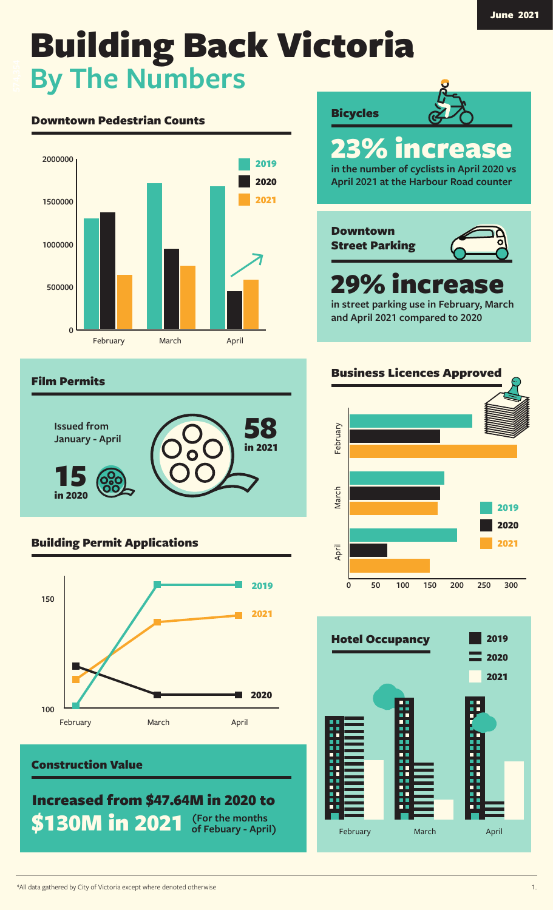# Downtown Pedestrian Counts



#### Film Permits



# Building Permit Applications



#### Construction Value

Increased from \$47.64M in 2020 to **\$130M in 2021 of Febuary - April)**



February March April

H

-----

Ē

 $\frac{1}{2}$ i

E

**Bicycles**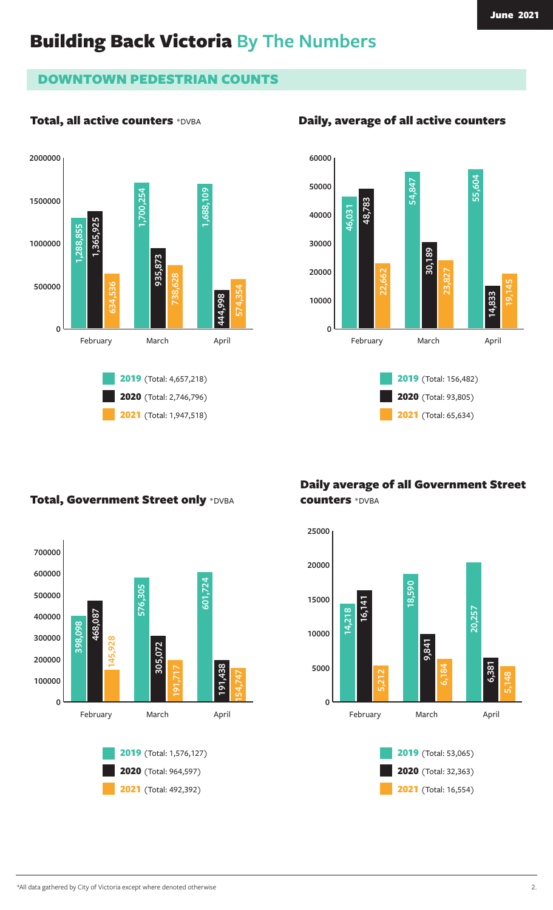# DOWNTOWN PEDESTRIAN COUNTS

# Total, all active counters \*DVBA





# Total, Government Street only \*DVBA





# Daily average of all Government Street counters \*DVBA



# Daily, average of all active counters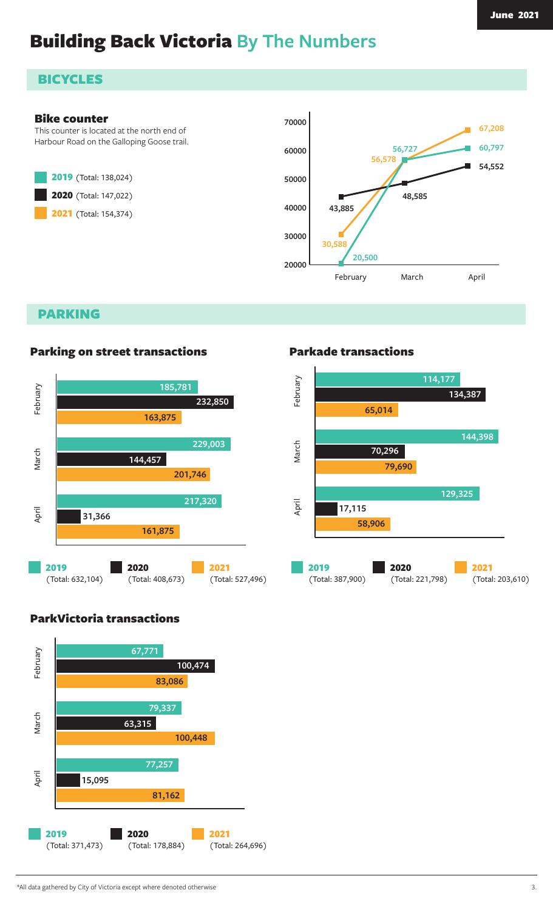# **BICYCLES**

#### Bike counter

This counter is located at the north end of Harbour Road on the Galloping Goose trail.





PARKING



#### Parking on street transactions

#### Parkade transactions



# ParkVictoria transactions

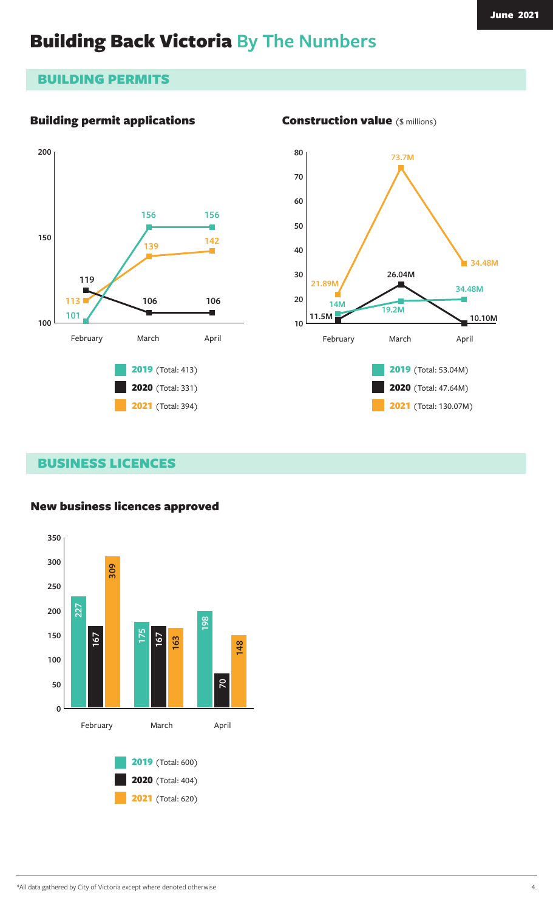# BUILDING PERMITS

# Building permit applications





Construction value (\$ millions)

#### BUSINESS LICENCES

#### New business licences approved